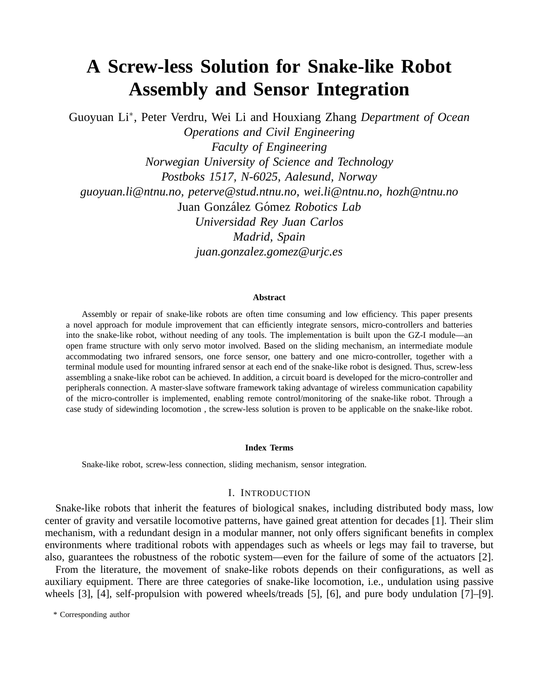# **A Screw-less Solution for Snake-like Robot Assembly and Sensor Integration**

Guoyuan Li<sup>∗</sup> , Peter Verdru, Wei Li and Houxiang Zhang *Department of Ocean*

*Operations and Civil Engineering Faculty of Engineering Norwegian University of Science and Technology Postboks 1517, N-6025, Aalesund, Norway guoyuan.li@ntnu.no, peterve@stud.ntnu.no, wei.li@ntnu.no, hozh@ntnu.no* Juan González Gómez Robotics Lab *Universidad Rey Juan Carlos Madrid, Spain juan.gonzalez.gomez@urjc.es*

#### **Abstract**

Assembly or repair of snake-like robots are often time consuming and low efficiency. This paper presents a novel approach for module improvement that can efficiently integrate sensors, micro-controllers and batteries into the snake-like robot, without needing of any tools. The implementation is built upon the GZ-I module—an open frame structure with only servo motor involved. Based on the sliding mechanism, an intermediate module accommodating two infrared sensors, one force sensor, one battery and one micro-controller, together with a terminal module used for mounting infrared sensor at each end of the snake-like robot is designed. Thus, screw-less assembling a snake-like robot can be achieved. In addition, a circuit board is developed for the micro-controller and peripherals connection. A master-slave software framework taking advantage of wireless communication capability of the micro-controller is implemented, enabling remote control/monitoring of the snake-like robot. Through a case study of sidewinding locomotion , the screw-less solution is proven to be applicable on the snake-like robot.

#### **Index Terms**

Snake-like robot, screw-less connection, sliding mechanism, sensor integration.

### I. INTRODUCTION

Snake-like robots that inherit the features of biological snakes, including distributed body mass, low center of gravity and versatile locomotive patterns, have gained great attention for decades [1]. Their slim mechanism, with a redundant design in a modular manner, not only offers significant benefits in complex environments where traditional robots with appendages such as wheels or legs may fail to traverse, but also, guarantees the robustness of the robotic system—even for the failure of some of the actuators [2].

From the literature, the movement of snake-like robots depends on their configurations, as well as auxiliary equipment. There are three categories of snake-like locomotion, i.e., undulation using passive wheels [3], [4], self-propulsion with powered wheels/treads [5], [6], and pure body undulation [7]–[9].

<sup>\*</sup> Corresponding author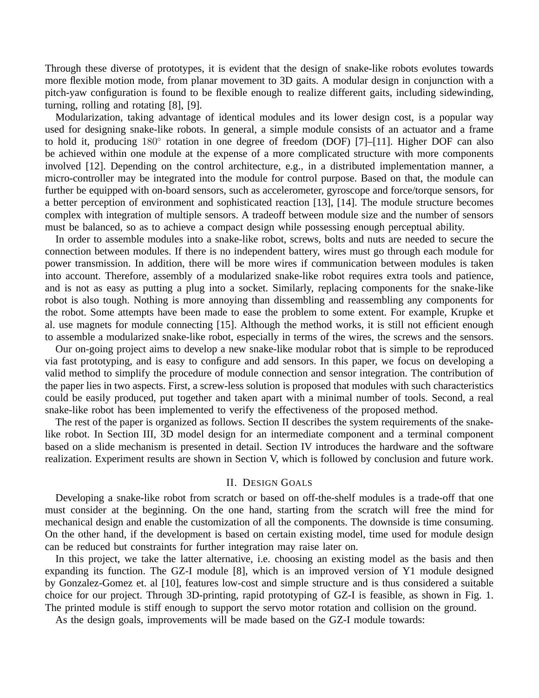Through these diverse of prototypes, it is evident that the design of snake-like robots evolutes towards more flexible motion mode, from planar movement to 3D gaits. A modular design in conjunction with a pitch-yaw configuration is found to be flexible enough to realize different gaits, including sidewinding, turning, rolling and rotating [8], [9].

Modularization, taking advantage of identical modules and its lower design cost, is a popular way used for designing snake-like robots. In general, a simple module consists of an actuator and a frame to hold it, producing 180° rotation in one degree of freedom (DOF) [7]–[11]. Higher DOF can also be achieved within one module at the expense of a more complicated structure with more components involved [12]. Depending on the control architecture, e.g., in a distributed implementation manner, a micro-controller may be integrated into the module for control purpose. Based on that, the module can further be equipped with on-board sensors, such as accelerometer, gyroscope and force/torque sensors, for a better perception of environment and sophisticated reaction [13], [14]. The module structure becomes complex with integration of multiple sensors. A tradeoff between module size and the number of sensors must be balanced, so as to achieve a compact design while possessing enough perceptual ability.

In order to assemble modules into a snake-like robot, screws, bolts and nuts are needed to secure the connection between modules. If there is no independent battery, wires must go through each module for power transmission. In addition, there will be more wires if communication between modules is taken into account. Therefore, assembly of a modularized snake-like robot requires extra tools and patience, and is not as easy as putting a plug into a socket. Similarly, replacing components for the snake-like robot is also tough. Nothing is more annoying than dissembling and reassembling any components for the robot. Some attempts have been made to ease the problem to some extent. For example, Krupke et al. use magnets for module connecting [15]. Although the method works, it is still not efficient enough to assemble a modularized snake-like robot, especially in terms of the wires, the screws and the sensors.

Our on-going project aims to develop a new snake-like modular robot that is simple to be reproduced via fast prototyping, and is easy to configure and add sensors. In this paper, we focus on developing a valid method to simplify the procedure of module connection and sensor integration. The contribution of the paper lies in two aspects. First, a screw-less solution is proposed that modules with such characteristics could be easily produced, put together and taken apart with a minimal number of tools. Second, a real snake-like robot has been implemented to verify the effectiveness of the proposed method.

The rest of the paper is organized as follows. Section II describes the system requirements of the snakelike robot. In Section III, 3D model design for an intermediate component and a terminal component based on a slide mechanism is presented in detail. Section IV introduces the hardware and the software realization. Experiment results are shown in Section V, which is followed by conclusion and future work.

# II. DESIGN GOALS

Developing a snake-like robot from scratch or based on off-the-shelf modules is a trade-off that one must consider at the beginning. On the one hand, starting from the scratch will free the mind for mechanical design and enable the customization of all the components. The downside is time consuming. On the other hand, if the development is based on certain existing model, time used for module design can be reduced but constraints for further integration may raise later on.

In this project, we take the latter alternative, i.e. choosing an existing model as the basis and then expanding its function. The GZ-I module [8], which is an improved version of Y1 module designed by Gonzalez-Gomez et. al [10], features low-cost and simple structure and is thus considered a suitable choice for our project. Through 3D-printing, rapid prototyping of GZ-I is feasible, as shown in Fig. 1. The printed module is stiff enough to support the servo motor rotation and collision on the ground.

As the design goals, improvements will be made based on the GZ-I module towards: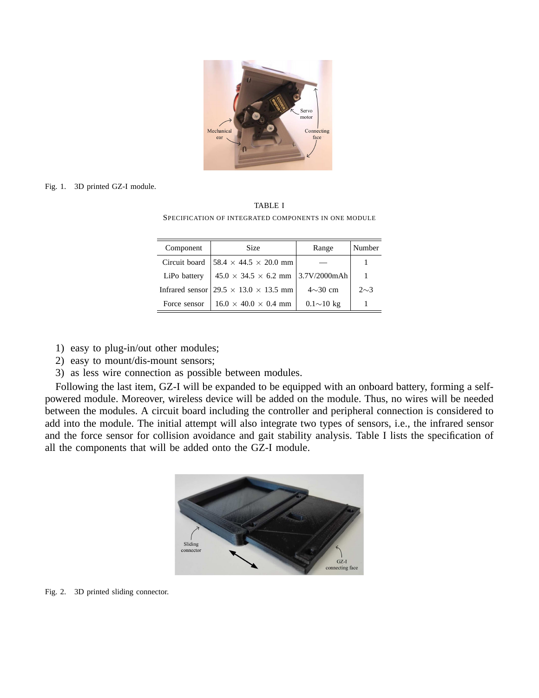

#### Fig. 1. 3D printed GZ-I module.

TABLE I SPECIFICATION OF INTEGRATED COMPONENTS IN ONE MODULE

| Component     | Size                                              | Range            | Number   |
|---------------|---------------------------------------------------|------------------|----------|
| Circuit board | $158.4 \times 44.5 \times 20.0$ mm                |                  |          |
| LiPo battery  | $45.0 \times 34.5 \times 6.2$ mm   3.7V/2000mAh   |                  |          |
|               | Infrared sensor $29.5 \times 13.0 \times 13.5$ mm | $4{\sim}30$ cm   | $2\sim3$ |
| Force sensor  | $16.0 \times 40.0 \times 0.4$ mm                  | $0.1{\sim}10$ kg |          |

- 1) easy to plug-in/out other modules;
- 2) easy to mount/dis-mount sensors;
- 3) as less wire connection as possible between modules.

Following the last item, GZ-I will be expanded to be equipped with an onboard battery, forming a selfpowered module. Moreover, wireless device will be added on the module. Thus, no wires will be needed between the modules. A circuit board including the controller and peripheral connection is considered to add into the module. The initial attempt will also integrate two types of sensors, i.e., the infrared sensor and the force sensor for collision avoidance and gait stability analysis. Table I lists the specification of all the components that will be added onto the GZ-I module.



Fig. 2. 3D printed sliding connector.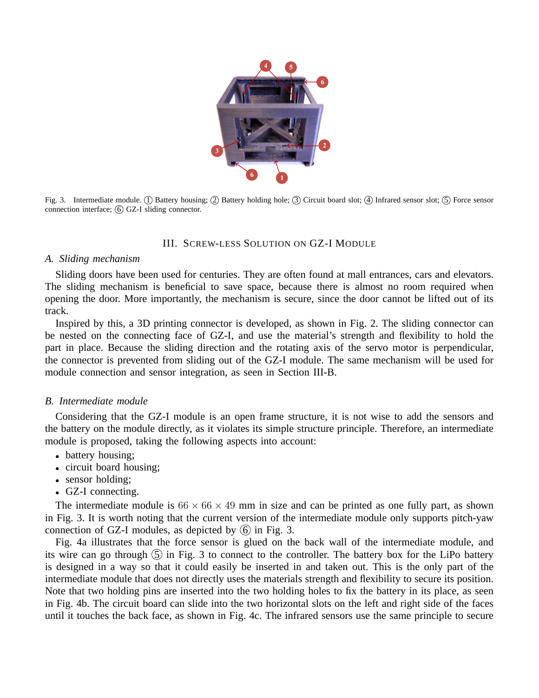

Fig. 3. Intermediate module. ① Battery housing; ② Battery holding hole; ③ Circuit board slot; ④ Infrared sensor slot; ⑤ Force sensor connection interface;  $\overline{6}$  GZ-I sliding connector.

# III. SCREW-LESS SOLUTION ON GZ-I MODULE

## *A. Sliding mechanism*

Sliding doors have been used for centuries. They are often found at mall entrances, cars and elevators. The sliding mechanism is beneficial to save space, because there is almost no room required when opening the door. More importantly, the mechanism is secure, since the door cannot be lifted out of its track.

Inspired by this, a 3D printing connector is developed, as shown in Fig. 2. The sliding connector can be nested on the connecting face of GZ-I, and use the material's strength and flexibility to hold the part in place. Because the sliding direction and the rotating axis of the servo motor is perpendicular, the connector is prevented from sliding out of the GZ-I module. The same mechanism will be used for module connection and sensor integration, as seen in Section III-B.

## *B. Intermediate module*

Considering that the GZ-I module is an open frame structure, it is not wise to add the sensors and the battery on the module directly, as it violates its simple structure principle. Therefore, an intermediate module is proposed, taking the following aspects into account:

- battery housing;
- circuit board housing;
- sensor holding;
- GZ-I connecting.

The intermediate module is  $66 \times 66 \times 49$  mm in size and can be printed as one fully part, as shown in Fig. 3. It is worth noting that the current version of the intermediate module only supports pitch-yaw connection of GZ-I modules, as depicted by  $(6)$  in Fig. 3.

Fig. 4a illustrates that the force sensor is glued on the back wall of the intermediate module, and its wire can go through  $(5)$  in Fig. 3 to connect to the controller. The battery box for the LiPo battery is designed in a way so that it could easily be inserted in and taken out. This is the only part of the intermediate module that does not directly uses the materials strength and flexibility to secure its position. Note that two holding pins are inserted into the two holding holes to fix the battery in its place, as seen in Fig. 4b. The circuit board can slide into the two horizontal slots on the left and right side of the faces until it touches the back face, as shown in Fig. 4c. The infrared sensors use the same principle to secure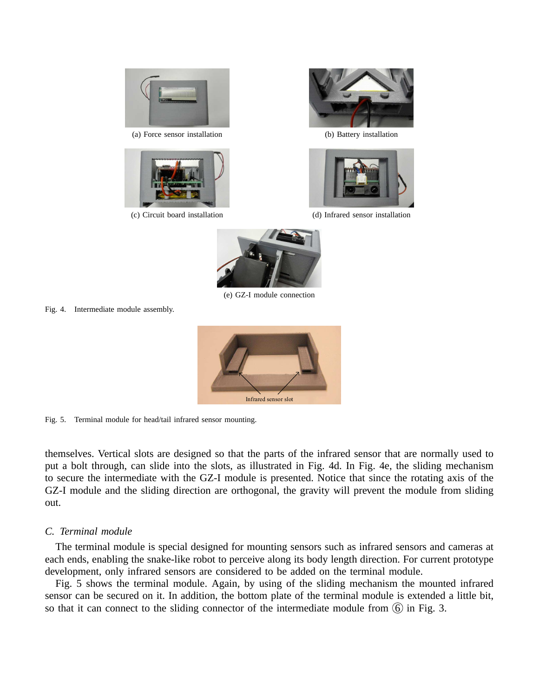

(a) Force sensor installation (b) Battery installation







(c) Circuit board installation (d) Infrared sensor installation



(e) GZ-I module connection

Fig. 4. Intermediate module assembly.



Fig. 5. Terminal module for head/tail infrared sensor mounting.

themselves. Vertical slots are designed so that the parts of the infrared sensor that are normally used to put a bolt through, can slide into the slots, as illustrated in Fig. 4d. In Fig. 4e, the sliding mechanism to secure the intermediate with the GZ-I module is presented. Notice that since the rotating axis of the GZ-I module and the sliding direction are orthogonal, the gravity will prevent the module from sliding out.

## *C. Terminal module*

The terminal module is special designed for mounting sensors such as infrared sensors and cameras at each ends, enabling the snake-like robot to perceive along its body length direction. For current prototype development, only infrared sensors are considered to be added on the terminal module.

Fig. 5 shows the terminal module. Again, by using of the sliding mechanism the mounted infrared sensor can be secured on it. In addition, the bottom plate of the terminal module is extended a little bit, so that it can connect to the sliding connector of the intermediate module from  $\overline{6}$  in Fig. 3.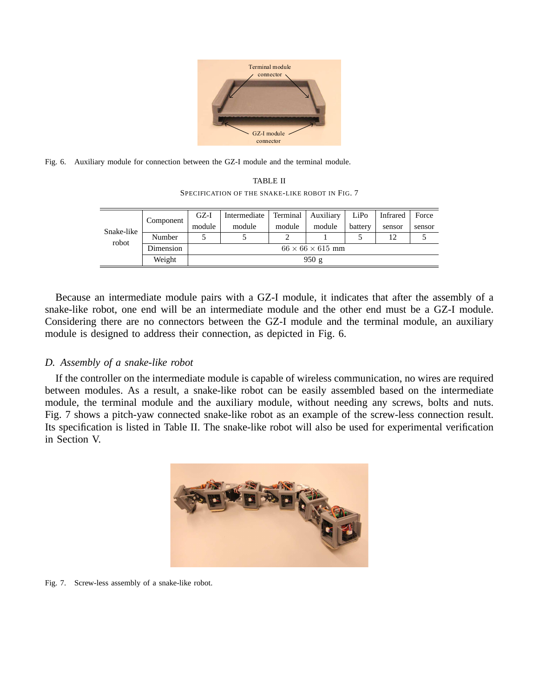

Fig. 6. Auxiliary module for connection between the GZ-I module and the terminal module.

TABLE II SPECIFICATION OF THE SNAKE-LIKE ROBOT IN FIG. 7

| Snake-like<br>robot | Component | GZ-I                         | Intermediate | Terminal | Auxiliary | LiPo    | Infrared | Force  |
|---------------------|-----------|------------------------------|--------------|----------|-----------|---------|----------|--------|
|                     |           | module                       | module       | module   | module    | battery | sensor   | sensor |
|                     | Number    |                              |              |          |           |         | 12       |        |
|                     | Dimension | $66 \times 66 \times 615$ mm |              |          |           |         |          |        |
|                     | Weight    | 950g                         |              |          |           |         |          |        |

Because an intermediate module pairs with a GZ-I module, it indicates that after the assembly of a snake-like robot, one end will be an intermediate module and the other end must be a GZ-I module. Considering there are no connectors between the GZ-I module and the terminal module, an auxiliary module is designed to address their connection, as depicted in Fig. 6.

# *D. Assembly of a snake-like robot*

If the controller on the intermediate module is capable of wireless communication, no wires are required between modules. As a result, a snake-like robot can be easily assembled based on the intermediate module, the terminal module and the auxiliary module, without needing any screws, bolts and nuts. Fig. 7 shows a pitch-yaw connected snake-like robot as an example of the screw-less connection result. Its specification is listed in Table II. The snake-like robot will also be used for experimental verification in Section V.



Fig. 7. Screw-less assembly of a snake-like robot.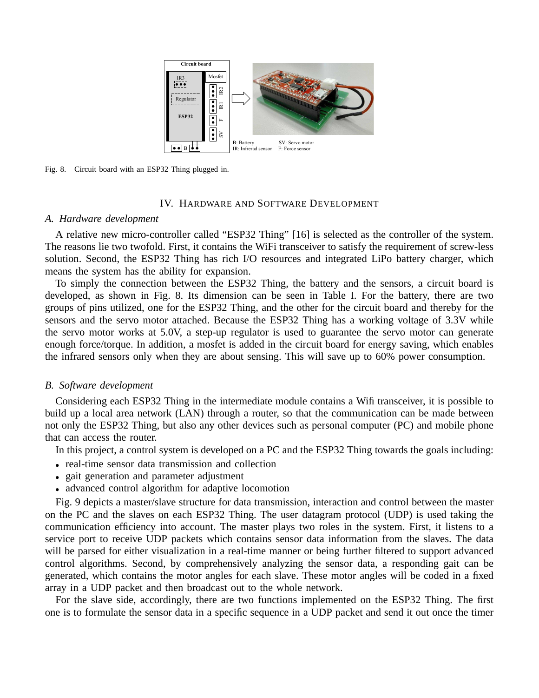

Fig. 8. Circuit board with an ESP32 Thing plugged in.

# IV. HARDWARE AND SOFTWARE DEVELOPMENT

## *A. Hardware development*

A relative new micro-controller called "ESP32 Thing" [16] is selected as the controller of the system. The reasons lie two twofold. First, it contains the WiFi transceiver to satisfy the requirement of screw-less solution. Second, the ESP32 Thing has rich I/O resources and integrated LiPo battery charger, which means the system has the ability for expansion.

To simply the connection between the ESP32 Thing, the battery and the sensors, a circuit board is developed, as shown in Fig. 8. Its dimension can be seen in Table I. For the battery, there are two groups of pins utilized, one for the ESP32 Thing, and the other for the circuit board and thereby for the sensors and the servo motor attached. Because the ESP32 Thing has a working voltage of 3.3V while the servo motor works at 5.0V, a step-up regulator is used to guarantee the servo motor can generate enough force/torque. In addition, a mosfet is added in the circuit board for energy saving, which enables the infrared sensors only when they are about sensing. This will save up to 60% power consumption.

### *B. Software development*

Considering each ESP32 Thing in the intermediate module contains a Wifi transceiver, it is possible to build up a local area network (LAN) through a router, so that the communication can be made between not only the ESP32 Thing, but also any other devices such as personal computer (PC) and mobile phone that can access the router.

In this project, a control system is developed on a PC and the ESP32 Thing towards the goals including:

- real-time sensor data transmission and collection
- gait generation and parameter adjustment
- advanced control algorithm for adaptive locomotion

Fig. 9 depicts a master/slave structure for data transmission, interaction and control between the master on the PC and the slaves on each ESP32 Thing. The user datagram protocol (UDP) is used taking the communication efficiency into account. The master plays two roles in the system. First, it listens to a service port to receive UDP packets which contains sensor data information from the slaves. The data will be parsed for either visualization in a real-time manner or being further filtered to support advanced control algorithms. Second, by comprehensively analyzing the sensor data, a responding gait can be generated, which contains the motor angles for each slave. These motor angles will be coded in a fixed array in a UDP packet and then broadcast out to the whole network.

For the slave side, accordingly, there are two functions implemented on the ESP32 Thing. The first one is to formulate the sensor data in a specific sequence in a UDP packet and send it out once the timer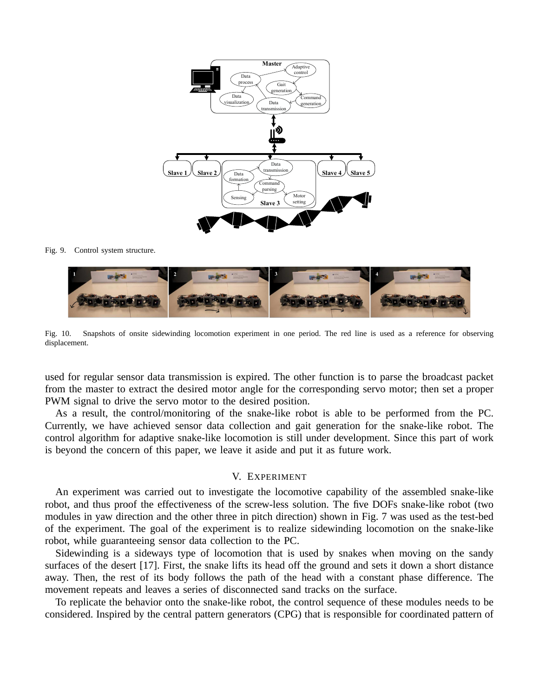

Fig. 9. Control system structure.



Fig. 10. Snapshots of onsite sidewinding locomotion experiment in one period. The red line is used as a reference for observing displacement.

used for regular sensor data transmission is expired. The other function is to parse the broadcast packet from the master to extract the desired motor angle for the corresponding servo motor; then set a proper PWM signal to drive the servo motor to the desired position.

As a result, the control/monitoring of the snake-like robot is able to be performed from the PC. Currently, we have achieved sensor data collection and gait generation for the snake-like robot. The control algorithm for adaptive snake-like locomotion is still under development. Since this part of work is beyond the concern of this paper, we leave it aside and put it as future work.

## V. EXPERIMENT

An experiment was carried out to investigate the locomotive capability of the assembled snake-like robot, and thus proof the effectiveness of the screw-less solution. The five DOFs snake-like robot (two modules in yaw direction and the other three in pitch direction) shown in Fig. 7 was used as the test-bed of the experiment. The goal of the experiment is to realize sidewinding locomotion on the snake-like robot, while guaranteeing sensor data collection to the PC.

Sidewinding is a sideways type of locomotion that is used by snakes when moving on the sandy surfaces of the desert [17]. First, the snake lifts its head off the ground and sets it down a short distance away. Then, the rest of its body follows the path of the head with a constant phase difference. The movement repeats and leaves a series of disconnected sand tracks on the surface.

To replicate the behavior onto the snake-like robot, the control sequence of these modules needs to be considered. Inspired by the central pattern generators (CPG) that is responsible for coordinated pattern of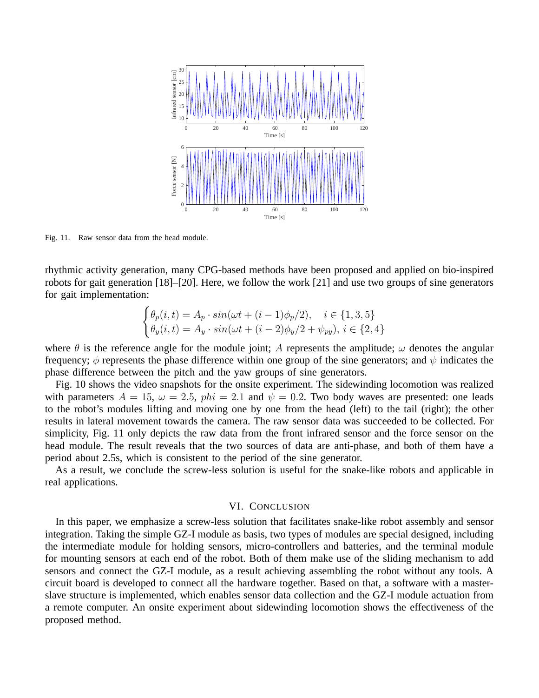

Fig. 11. Raw sensor data from the head module.

rhythmic activity generation, many CPG-based methods have been proposed and applied on bio-inspired robots for gait generation [18]–[20]. Here, we follow the work [21] and use two groups of sine generators for gait implementation:

$$
\begin{cases} \theta_p(i,t) = A_p \cdot \sin(\omega t + (i-1)\phi_p/2), & i \in \{1,3,5\} \\ \theta_y(i,t) = A_y \cdot \sin(\omega t + (i-2)\phi_y/2 + \psi_{py}), & i \in \{2,4\} \end{cases}
$$

where  $\theta$  is the reference angle for the module joint; A represents the amplitude;  $\omega$  denotes the angular frequency;  $\phi$  represents the phase difference within one group of the sine generators; and  $\psi$  indicates the phase difference between the pitch and the yaw groups of sine generators.

Fig. 10 shows the video snapshots for the onsite experiment. The sidewinding locomotion was realized with parameters  $A = 15$ ,  $\omega = 2.5$ ,  $phi = 2.1$  and  $\psi = 0.2$ . Two body waves are presented: one leads to the robot's modules lifting and moving one by one from the head (left) to the tail (right); the other results in lateral movement towards the camera. The raw sensor data was succeeded to be collected. For simplicity, Fig. 11 only depicts the raw data from the front infrared sensor and the force sensor on the head module. The result reveals that the two sources of data are anti-phase, and both of them have a period about 2.5s, which is consistent to the period of the sine generator.

As a result, we conclude the screw-less solution is useful for the snake-like robots and applicable in real applications.

## VI. CONCLUSION

In this paper, we emphasize a screw-less solution that facilitates snake-like robot assembly and sensor integration. Taking the simple GZ-I module as basis, two types of modules are special designed, including the intermediate module for holding sensors, micro-controllers and batteries, and the terminal module for mounting sensors at each end of the robot. Both of them make use of the sliding mechanism to add sensors and connect the GZ-I module, as a result achieving assembling the robot without any tools. A circuit board is developed to connect all the hardware together. Based on that, a software with a masterslave structure is implemented, which enables sensor data collection and the GZ-I module actuation from a remote computer. An onsite experiment about sidewinding locomotion shows the effectiveness of the proposed method.